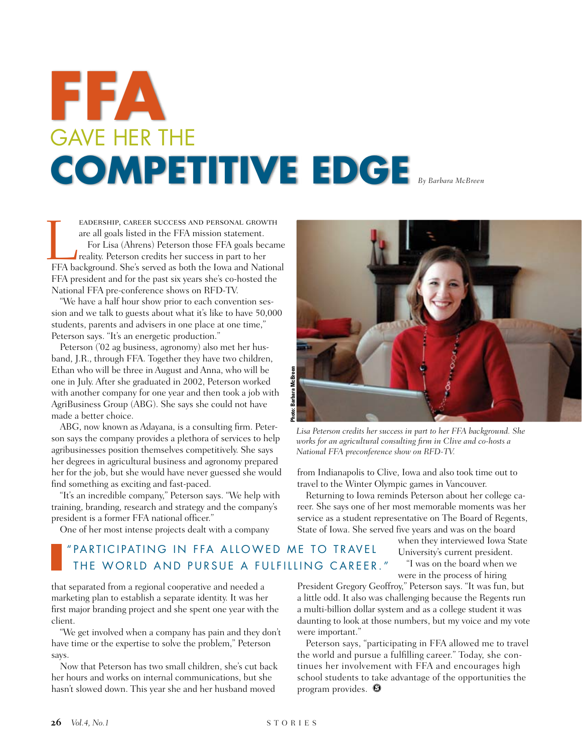# gave HER THE **COMPETITIVE EDGE** By Barbara McBreen **FFA**

eadership, career success and personal growth are all goals listed in the FFA mission statement. For Lisa (Ahrens) Peterson those FFA goals became reality. Peterson credits her success in part to her EADERSHIP, CAREER SUCCESS AND PERSONAL GROWTH<br>are all goals listed in the FFA mission statement.<br>For Lisa (Ahrens) Peterson those FFA goals became<br>reality. Peterson credits her success in part to her<br>FFA background. She's FFA president and for the past six years she's co-hosted the National FFA pre-conference shows on RFD-TV.

"We have a half hour show prior to each convention session and we talk to guests about what it's like to have 50,000 students, parents and advisers in one place at one time," Peterson says. "It's an energetic production."

Peterson ('02 ag business, agronomy) also met her husband, J.R., through FFA. Together they have two children, Ethan who will be three in August and Anna, who will be one in July. After she graduated in 2002, Peterson worked with another company for one year and then took a job with AgriBusiness Group (ABG). She says she could not have made a better choice.

ABG, now known as Adayana, is a consulting firm. Peterson says the company provides a plethora of services to help agribusinesses position themselves competitively. She says her degrees in agricultural business and agronomy prepared her for the job, but she would have never guessed she would find something as exciting and fast-paced.

"It's an incredible company," Peterson says. "We help with training, branding, research and strategy and the company's president is a former FFA national officer."

One of her most intense projects dealt with a company

# **Photo: Barbara McBreen**

*Lisa Peterson credits her success in part to her FFA background. She works for an agricultural consulting firm in Clive and co-hosts a National FFA preconference show on RFD-TV.*

from Indianapolis to Clive, Iowa and also took time out to travel to the Winter Olympic games in Vancouver.

Returning to Iowa reminds Peterson about her college career. She says one of her most memorable moments was her service as a student representative on The Board of Regents, State of Iowa. She served five years and was on the board

## " PARTICIPATING IN FFA ALLOWED ME TO TRAVEL THE WORLD AND PURSUE A FULFILLING CAREER."

that separated from a regional cooperative and needed a marketing plan to establish a separate identity. It was her first major branding project and she spent one year with the client.

"We get involved when a company has pain and they don't have time or the expertise to solve the problem," Peterson says.

Now that Peterson has two small children, she's cut back her hours and works on internal communications, but she hasn't slowed down. This year she and her husband moved

when they interviewed Iowa State University's current president. "I was on the board when we were in the process of hiring

President Gregory Geoffroy," Peterson says. "It was fun, but a little odd. It also was challenging because the Regents run a multi-billion dollar system and as a college student it was daunting to look at those numbers, but my voice and my vote were important."

Peterson says, "participating in FFA allowed me to travel the world and pursue a fulfilling career." Today, she continues her involvement with FFA and encourages high school students to take advantage of the opportunities the program provides.  $\bullet$